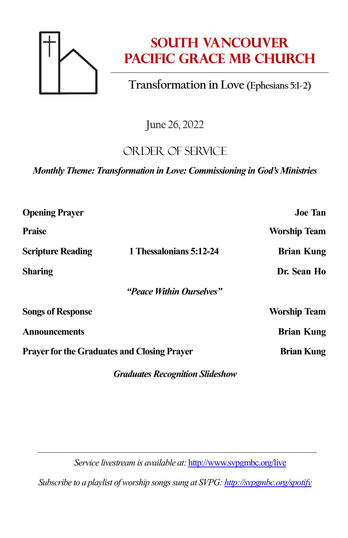

# **South Vancouver Pacific Grace MB Church**

# **Transformation in Love (Ephesians 5:1-2)**

June 26, 2022

## OR DER OF SERVICE

*Monthly Theme: Transformation in Love: Commissioning in God's Ministries*

| <b>Opening Prayer</b>                              |                          | <b>Joe Tan</b>      |
|----------------------------------------------------|--------------------------|---------------------|
| <b>Praise</b>                                      |                          | <b>Worship Team</b> |
| <b>Scripture Reading</b>                           | 1 Thessalonians 5:12-24  | <b>Brian Kung</b>   |
| <b>Sharing</b>                                     |                          | Dr. Sean Ho         |
|                                                    | "Peace Within Ourselves" |                     |
| <b>Songs of Response</b>                           |                          | <b>Worship Team</b> |
| <b>Announcements</b>                               |                          | <b>Brian Kung</b>   |
| <b>Prayer for the Graduates and Closing Prayer</b> |                          | <b>Brian Kung</b>   |
|                                                    |                          |                     |

*Graduates Recognition Slideshow*

—————————————————————————————— *Service livestream is available at:* <http://www.svpgmbc.org/live>

*Subscribe to a playlist of worship songs sung at SVPG[: http://svpgmbc.org/spotify](http://svpgmbc.org/spotify)*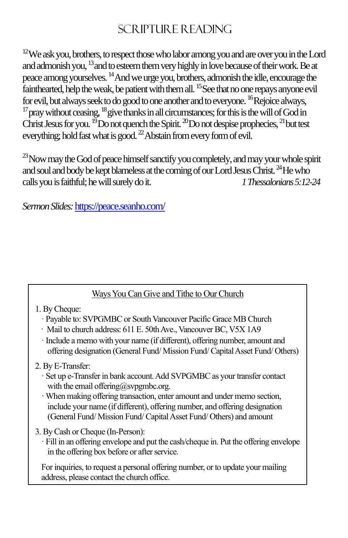### $SCR$  IPTURE READING

 $12$ We ask you, brothers, to respect those who labor among you and are over you in the Lord and admonish you, <sup>13</sup> and to esteem them very highly in love because of their work. Be at peace among yourselves. <sup>14</sup>And we urge you, brothers, admonish the idle, encourage the fainthearted, help the weak, be patient with them all. <sup>15</sup> See that no one repays anyone evil for evil, but always seek to do good to one another and to everyone. <sup>16</sup>Rejoice always,  $17$  pray without ceasing,  $18$  give thanks in all circumstances; for this is the will of God in Christ Jesus for you.  $^{19}$ Do not quench the Spirit.  $^{20}$ Do not despise prophecies,  $^{21}$  but test everything; hold fast what is good.  $^{22}$  Abstain from every form of evil.

 $^{23}$ Now may the God of peace himself sanctify you completely, and may your whole spirit and soul and body be kept blameless at the coming of our Lord Jesus Christ. <sup>24</sup>He who calls you is faithful; he will surely do it. *1 Thessalonians 5:12-24*

*SermonSlides:*<https://peace.seanho.com/>

### Ways You Can Give and Tithe to Our Church

#### 1. By Cheque:

- · Payable to: SVPGMBC or South Vancouver Pacific Grace MB Church
- · Mail to church address: 611 E. 50th Ave., Vancouver BC, V5X 1A9
- · Include a memo with your name (if different), offering number, amount and offering designation (General Fund/ Mission Fund/ Capital Asset Fund/ Others)

#### 2. By E-Transfer:

- · Set up e-Transfer in bank account. Add SVPGMBC as your transfer contact with the email offering@svpgmbc.org.
- · When making offering transaction, enter amount and under memo section, include your name (if different), offering number, and offering designation (General Fund/ Mission Fund/ Capital Asset Fund/ Others) and amount
- 3. By Cash or Cheque (In-Person):
	- · Fill in an offering envelope and put the cash/cheque in. Put the offering envelope in the offering box before or after service.

For inquiries, to request a personal offering number, or to update your mailing address, please contact the church office.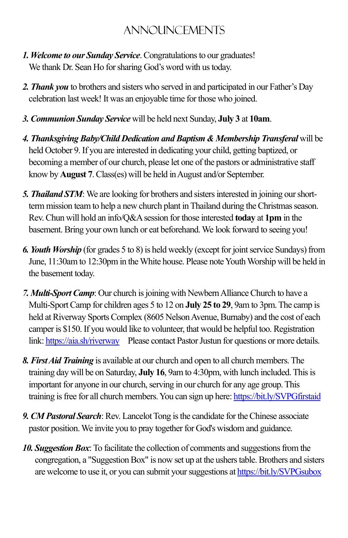# ANNOUNCEMENTS

- *1. Welcome to our Sunday Service*.Congratulations to our graduates! We thank Dr. Sean Ho for sharing God's word with us today.
- *2. Thank you* to brothers and sisters who served in and participated in our Father's Day celebration last week! It was an enjoyable time for those who joined.
- *3. Communion Sunday Service* will be held next Sunday, **July 3** at **10am**.
- *4. Thanksgiving Baby/Child Dedication and Baptism & Membership Transferal* will be held October 9. If you are interested in dedicating your child, getting baptized, or becoming a member of our church, please let one of the pastors or administrative staff know by **August 7**. Class(es) will be held in August and/or September.
- *5. Thailand STM*: We are looking for brothers and sisters interested in joining our shortterm mission team to help a new church plant in Thailand during the Christmas season. Rev. Chun will hold an info/Q&Asession for those interested **today** at **1pm** in the basement. Bring your own lunch or eat beforehand.We look forward to seeing you!
- *6. Youth Worship* (for grades 5 to 8) is held weekly (except for joint service Sundays)from June, 11:30am to 12:30pm in the White house. Please note Youth Worship will be held in the basement today.
- *7. Multi-Sport Camp*: Our church is joining with Newbern Alliance Church to have a Multi-Sport Camp for children ages 5 to 12 on **July 25 to 29**, 9am to 3pm. The camp is held at Riverway Sports Complex (8605 Nelson Avenue, Burnaby) and the cost of each camper is \$150. If you would like to volunteer, that would be helpful too. Registration link[: https://aia.sh/riverway](https://aia.sh/riverway) Please contact Pastor Justun for questions or more details.
- *8.First Aid Training* is available at our church and open to all church members. The training day will be on Saturday, **July 16**, 9am to 4:30pm, with lunch included. This is important for anyone in our church, serving in our church for any age group. This training is free for all church members. You can sign up here[: https://bit.ly/SVPGfirstaid](https://bit.ly/SVPGfirstaid)
- **9. CM Pastoral Search:** Rev. Lancelot Tong is the candidate for the Chinese associate pastor position. We invite you to pray together for God's wisdom and guidance.
- *10. Suggestion Box*: To facilitate the collection of comments and suggestions from the congregation, a "Suggestion Box" is now set up at the ushers table. Brothers and sisters are welcome to use it, or you can submit your suggestions a[t https://bit.ly/SVPGsubox](https://bit.ly/SVPGsubox)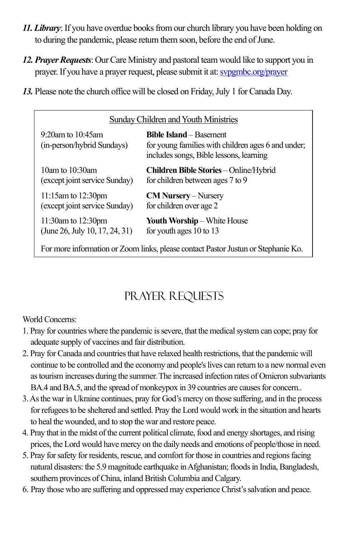- *11. Library*: If you have overdue books from our church library you have been holding on to during the pandemic, please return them soon, before the end of June.
- *12. Prayer Requests*: Our Care Ministry and pastoral team would like to support you in prayer. If you have a prayer request, please submit it at[: svpgmbc.org/prayer](http://www.svpgmbc.org/prayer)
- *13.* Please note the church office will be closed on Friday, July 1 for Canada Day.

| Sunday Children and Youth Ministries                                              |                                                                                                                                 |  |  |
|-----------------------------------------------------------------------------------|---------------------------------------------------------------------------------------------------------------------------------|--|--|
| $9:20$ am to $10:45$ am<br>(in-person/hybrid Sundays)                             | <b>Bible Island</b> – Basement<br>for young families with children ages 6 and under;<br>includes songs, Bible lessons, learning |  |  |
| 10am to $10:30$ am<br>(except joint service Sunday)                               | <b>Children Bible Stories</b> – Online/Hybrid<br>for children between ages 7 to 9                                               |  |  |
| $11:15$ am to $12:30$ pm<br>(except joint service Sunday)                         | $CM$ Nursery – Nursery<br>for children over age 2                                                                               |  |  |
| 11:30am to 12:30pm<br>(June 26, July 10, 17, 24, 31)                              | <b>Youth Worship</b> – White House<br>for youth ages 10 to 13                                                                   |  |  |
| For more information or Zoom links, please contact Pastor Justun or Stephanie Ko. |                                                                                                                                 |  |  |

# Prayer Requests

#### World Concerns:

- 1. Pray for countries where the pandemic is severe, that the medical system can cope; pray for adequate supply of vaccines and fair distribution.
- 2. Pray for Canada and countries that have relaxed health restrictions, that the pandemic will continue to be controlled and the economy and people's lives can return to a new normal even as tourism increases during the summer.The increased infection rates of Omicron subvariants BA.4 and BA.5, and the spread of monkeypox in 39 countries are causes for concern..
- 3.As the war in Ukraine continues, pray for God's mercy on those suffering, and in the process forrefugees to be sheltered and settled. Pray the Lord would work in the situation and hearts to heal the wounded, and to stop the war and restore peace.
- 4. Pray that in the midst of the current political climate, food and energy shortages, and rising prices, the Lord would have mercy on the daily needs and emotions of people/those in need.
- 5. Pray for safety for residents, rescue, and comfort for those in countries and regions facing natural disasters: the 5.9 magnitude earthquake in Afghanistan; floods in India, Bangladesh, southern provinces of China, inland British Columbia and Calgary.
- 6. Pray those who are suffering and oppressed may experience Christ'ssalvation and peace.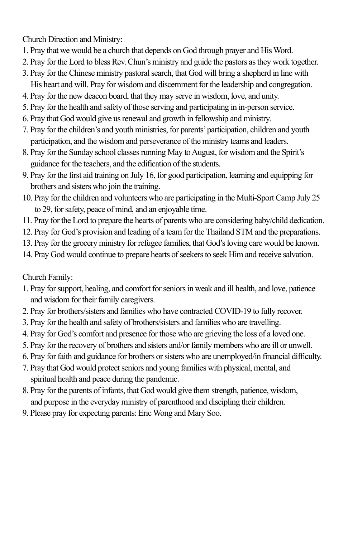Church Direction and Ministry:

- 1. Pray that we would be a church that depends on God through prayer and His Word.
- 2. Pray for the Lord to bless Rev. Chun's ministry and guide the pastors as they work together.
- 3. Pray for the Chinese ministry pastoral search, that God will bring a shepherd in line with His heart and will. Pray for wisdom and discernment for the leadership and congregation.
- 4. Pray for the new deacon board, that they may serve in wisdom, love, and unity.
- 5. Pray for the health and safety of those serving and participating in in-person service.
- 6. Pray that God would give us renewal and growth in fellowship and ministry.
- 7. Pray for the children's and youth ministries, for parents' participation, children and youth participation, and the wisdom and perseverance of the ministry teams and leaders.
- 8. Pray for the Sunday school classes running May to August, for wisdom and the Spirit's guidance for the teachers, and the edification of the students.
- 9. Pray for the first aid training on July 16, for good participation, learning and equipping for brothers and sisters who join the training.
- 10. Pray for the children and volunteers who are participating in the Multi-Sport Camp July 25 to 29, for safety, peace of mind, and an enjoyable time.
- 11. Pray for the Lord to prepare the hearts of parents who are considering baby/child dedication.
- 12. Pray for God's provision and leading of a team for the Thailand STM and the preparations.
- 13. Pray for the grocery ministry for refugee families, that God's loving care would be known.
- 14. Pray God would continue to prepare hearts of seekers to seek Him and receive salvation.

Church Family:

- 1. Pray for support, healing, and comfort for seniors in weak and ill health, and love, patience and wisdom for their family caregivers.
- 2. Pray for brothers/sisters and families who have contracted COVID-19 to fully recover.
- 3. Pray for the health and safety of brothers/sisters and families who are travelling.
- 4. Pray for God's comfort and presence for those who are grieving the loss of a loved one.
- 5. Pray for the recovery of brothers and sisters and/or family members who are ill or unwell.
- 6. Pray for faith and guidance for brothers orsisters who are unemployed/in financial difficulty.
- 7. Pray that God would protect seniors and young families with physical, mental, and spiritual health and peace during the pandemic.
- 8. Pray for the parents of infants, that God would give them strength, patience, wisdom, and purpose in the everyday ministry of parenthood and discipling their children.
- 9. Please pray for expecting parents: Eric Wong and Mary Soo.